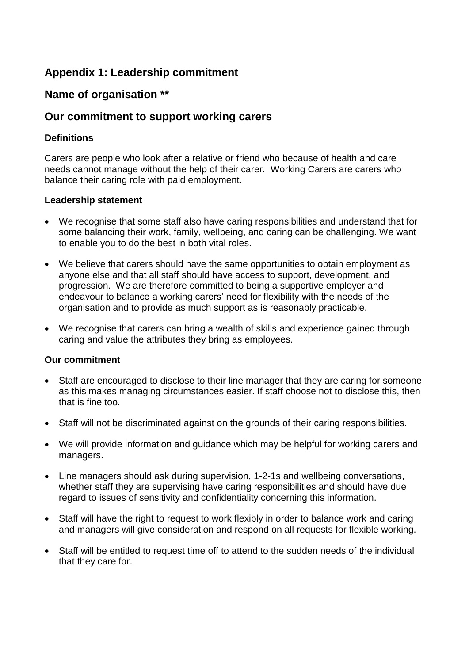# **Appendix 1: Leadership commitment**

# **Name of organisation \*\***

## **Our commitment to support working carers**

### **Definitions**

Carers are people who look after a relative or friend who because of health and care needs cannot manage without the help of their carer. Working Carers are carers who balance their caring role with paid employment.

#### **Leadership statement**

- We recognise that some staff also have caring responsibilities and understand that for some balancing their work, family, wellbeing, and caring can be challenging. We want to enable you to do the best in both vital roles.
- We believe that carers should have the same opportunities to obtain employment as anyone else and that all staff should have access to support, development, and progression. We are therefore committed to being a supportive employer and endeavour to balance a working carers' need for flexibility with the needs of the organisation and to provide as much support as is reasonably practicable.
- We recognise that carers can bring a wealth of skills and experience gained through caring and value the attributes they bring as employees.

### **Our commitment**

- Staff are encouraged to disclose to their line manager that they are caring for someone as this makes managing circumstances easier. If staff choose not to disclose this, then that is fine too.
- Staff will not be discriminated against on the grounds of their caring responsibilities.
- We will provide information and guidance which may be helpful for working carers and managers.
- Line managers should ask during supervision, 1-2-1s and wellbeing conversations, whether staff they are supervising have caring responsibilities and should have due regard to issues of sensitivity and confidentiality concerning this information.
- Staff will have the right to request to work flexibly in order to balance work and caring and managers will give consideration and respond on all requests for flexible working.
- Staff will be entitled to request time off to attend to the sudden needs of the individual that they care for.